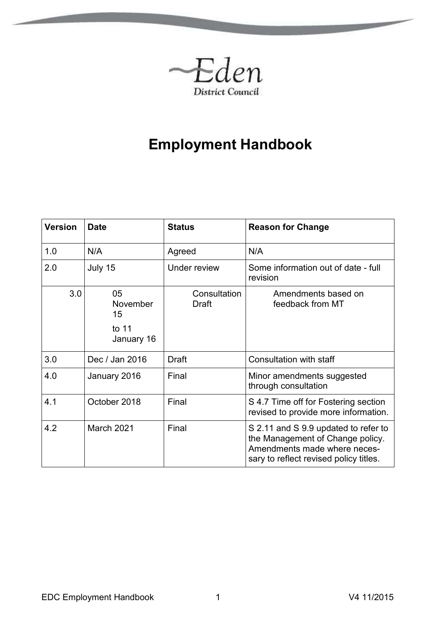

# **Employment Handbook**

<span id="page-0-0"></span>

| <b>Version</b> | <b>Date</b>                                          | <b>Status</b>         | <b>Reason for Change</b>                                                                                                                           |
|----------------|------------------------------------------------------|-----------------------|----------------------------------------------------------------------------------------------------------------------------------------------------|
| 1.0            | N/A                                                  | Agreed                | N/A                                                                                                                                                |
| 2.0            | July 15                                              | <b>Under review</b>   | Some information out of date - full<br>revision                                                                                                    |
| 3.0            | 05<br><b>November</b><br>15<br>to $11$<br>January 16 | Consultation<br>Draft | Amendments based on<br>feedback from MT                                                                                                            |
| 3.0            | Dec / Jan 2016                                       | Draft                 | Consultation with staff                                                                                                                            |
| 4.0            | January 2016                                         | Final                 | Minor amendments suggested<br>through consultation                                                                                                 |
| 4.1            | October 2018                                         | Final                 | S 4.7 Time off for Fostering section<br>revised to provide more information.                                                                       |
| 4.2            | March 2021                                           | Final                 | S 2.11 and S 9.9 updated to refer to<br>the Management of Change policy.<br>Amendments made where neces-<br>sary to reflect revised policy titles. |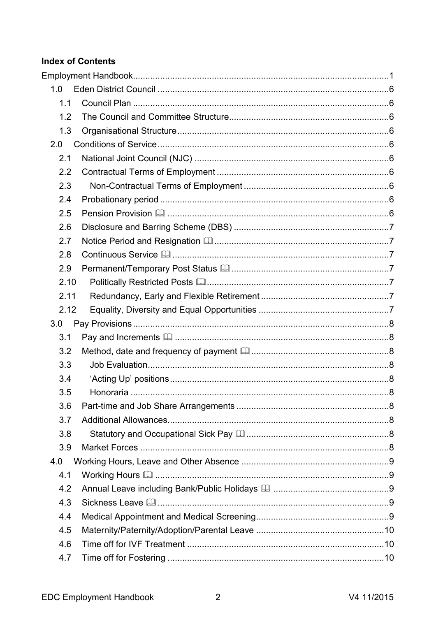# **Index of Contents**

| 1.0  |  |
|------|--|
| 1.1  |  |
| 1.2  |  |
| 1.3  |  |
| 2.0  |  |
| 2.1  |  |
| 2.2  |  |
| 2.3  |  |
| 2.4  |  |
| 2.5  |  |
| 2.6  |  |
| 2.7  |  |
| 2.8  |  |
| 2.9  |  |
| 2.10 |  |
| 2.11 |  |
| 2.12 |  |
| 3.0  |  |
|      |  |
| 3.1  |  |
| 3.2  |  |
| 3.3  |  |
| 3.4  |  |
| 3.5  |  |
| 3.6  |  |
| 3.7  |  |
| 3.8  |  |
| 3.9  |  |
| 4.0  |  |
| 4.1  |  |
| 4.2  |  |
| 4.3  |  |
| 4.4  |  |
| 4.5  |  |
| 4.6  |  |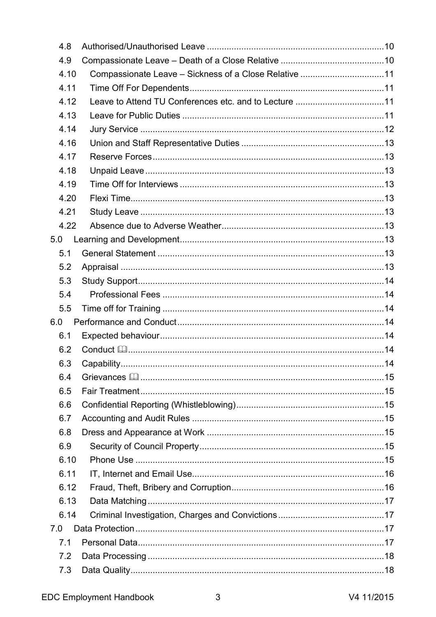| 4.8  |                                                       |  |
|------|-------------------------------------------------------|--|
| 4.9  |                                                       |  |
| 4.10 | Compassionate Leave - Sickness of a Close Relative 11 |  |
| 4.11 |                                                       |  |
| 4.12 | Leave to Attend TU Conferences etc. and to Lecture 11 |  |
| 4.13 |                                                       |  |
| 4.14 |                                                       |  |
| 4.16 |                                                       |  |
| 4.17 |                                                       |  |
| 4.18 |                                                       |  |
| 4.19 |                                                       |  |
| 4.20 |                                                       |  |
| 4.21 |                                                       |  |
| 4.22 |                                                       |  |
| 5.0  |                                                       |  |
| 5.1  |                                                       |  |
| 5.2  |                                                       |  |
| 5.3  |                                                       |  |
| 5.4  |                                                       |  |
| 5.5  |                                                       |  |
| 6.0  |                                                       |  |
| 6.1  |                                                       |  |
| 6.2  |                                                       |  |
| 6.3  |                                                       |  |
| 6.4  |                                                       |  |
| 6.5  |                                                       |  |
| 6.6  |                                                       |  |
| 6.7  |                                                       |  |
| 6.8  |                                                       |  |
| 6.9  |                                                       |  |
| 6.10 |                                                       |  |
| 6.11 |                                                       |  |
| 6.12 |                                                       |  |
| 6.13 |                                                       |  |
| 6.14 |                                                       |  |
| 7.0  |                                                       |  |
| 7.1  |                                                       |  |
| 7.2  |                                                       |  |
| 7.3  |                                                       |  |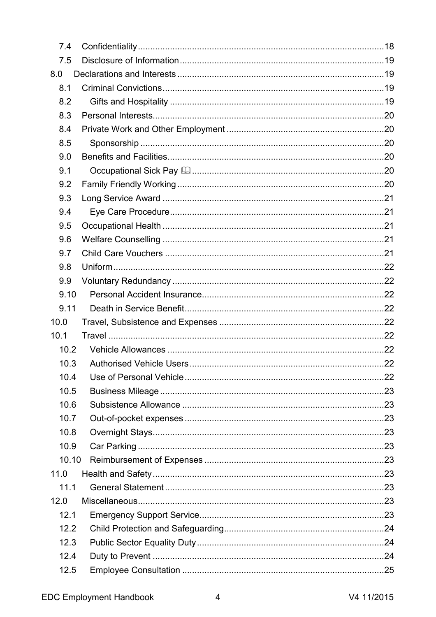| 7.4   |  |
|-------|--|
| 7.5   |  |
| 8.0   |  |
| 8.1   |  |
| 8.2   |  |
| 8.3   |  |
| 8.4   |  |
| 8.5   |  |
| 9.0   |  |
| 9.1   |  |
| 9.2   |  |
| 9.3   |  |
| 9.4   |  |
| 9.5   |  |
| 9.6   |  |
| 9.7   |  |
| 9.8   |  |
| 9.9   |  |
| 9.10  |  |
| 9.11  |  |
| 10.0  |  |
| 10.1  |  |
| 10.2  |  |
| 10.3  |  |
| 10.4  |  |
| 10.5  |  |
| 10.6  |  |
| 10.7  |  |
| 10.8  |  |
| 10.9  |  |
| 10.10 |  |
| 11.0  |  |
| 11.1  |  |
| 12.0  |  |
| 12.1  |  |
| 12.2  |  |
| 12.3  |  |
| 12.4  |  |
| 12.5  |  |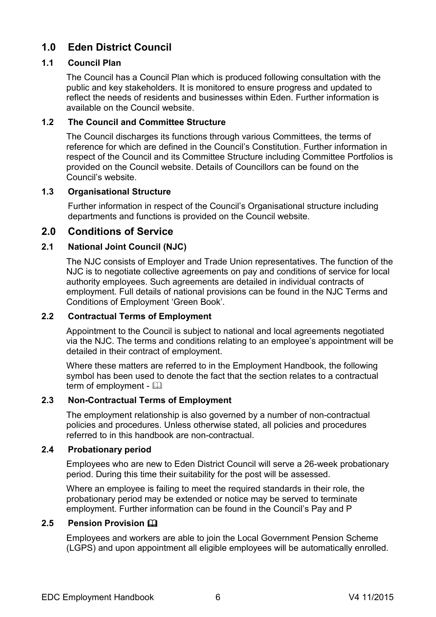# <span id="page-5-0"></span>**1.0 Eden District Council**

### <span id="page-5-1"></span>**1.1 Council Plan**

The Council has a Council Plan which is produced following consultation with the public and key stakeholders. It is monitored to ensure progress and updated to reflect the needs of residents and businesses within Eden. Further information is available on the Council website.

#### <span id="page-5-2"></span>**1.2 The Council and Committee Structure**

The Council discharges its functions through various Committees, the terms of reference for which are defined in the Council's Constitution. Further information in respect of the Council and its Committee Structure including Committee Portfolios is provided on the Council website. Details of Councillors can be found on the Council's website.

#### <span id="page-5-3"></span>**1.3 Organisational Structure**

Further information in respect of the Council's Organisational structure including departments and functions is provided on the Council website.

# <span id="page-5-4"></span>**2.0 Conditions of Service**

# <span id="page-5-5"></span>**2.1 National Joint Council (NJC)**

The NJC consists of Employer and Trade Union representatives. The function of the NJC is to negotiate collective agreements on pay and conditions of service for local authority employees. Such agreements are detailed in individual contracts of employment. Full details of national provisions can be found in the NJC Terms and Conditions of Employment 'Green Book'.

#### <span id="page-5-6"></span>**2.2 Contractual Terms of Employment**

Appointment to the Council is subject to national and local agreements negotiated via the NJC. The terms and conditions relating to an employee's appointment will be detailed in their contract of employment.

Where these matters are referred to in the Employment Handbook, the following symbol has been used to denote the fact that the section relates to a contractual term of employment -  $\Box$ 

#### <span id="page-5-7"></span>**2.3 Non-Contractual Terms of Employment**

The employment relationship is also governed by a number of non-contractual policies and procedures. Unless otherwise stated, all policies and procedures referred to in this handbook are non-contractual.

#### <span id="page-5-8"></span>**2.4 Probationary period**

Employees who are new to Eden District Council will serve a 26-week probationary period. During this time their suitability for the post will be assessed.

Where an employee is failing to meet the required standards in their role, the probationary period may be extended or notice may be served to terminate employment. Further information can be found in the Council's Pay and P

# <span id="page-5-9"></span>**2.5 Pension Provision**

Employees and workers are able to join the Local Government Pension Scheme (LGPS) and upon appointment all eligible employees will be automatically enrolled.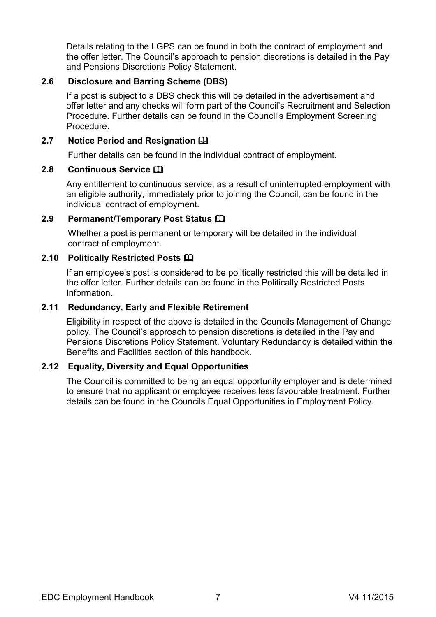Details relating to the LGPS can be found in both the contract of employment and the offer letter. The Council's approach to pension discretions is detailed in the Pay and Pensions Discretions Policy Statement.

#### <span id="page-6-0"></span>**2.6 Disclosure and Barring Scheme (DBS)**

If a post is subject to a DBS check this will be detailed in the advertisement and offer letter and any checks will form part of the Council's Recruitment and Selection Procedure. Further details can be found in the Council's Employment Screening Procedure.

#### <span id="page-6-1"></span>**2.7 Notice Period and Resignation**

Further details can be found in the individual contract of employment.

#### <span id="page-6-2"></span>**2.8 Continuous Service**

Any entitlement to continuous service, as a result of uninterrupted employment with an eligible authority, immediately prior to joining the Council, can be found in the individual contract of employment.

#### <span id="page-6-3"></span>**2.9 Permanent/Temporary Post Status**

Whether a post is permanent or temporary will be detailed in the individual contract of employment.

#### <span id="page-6-4"></span>**2.10 Politically Restricted Posts**

If an employee's post is considered to be politically restricted this will be detailed in the offer letter. Further details can be found in the Politically Restricted Posts Information.

#### <span id="page-6-5"></span>**2.11 Redundancy, Early and Flexible Retirement**

Eligibility in respect of the above is detailed in the Councils Management of Change policy. The Council's approach to pension discretions is detailed in the Pay and Pensions Discretions Policy Statement. Voluntary Redundancy is detailed within the Benefits and Facilities section of this handbook.

#### <span id="page-6-6"></span>**2.12 Equality, Diversity and Equal Opportunities**

The Council is committed to being an equal opportunity employer and is determined to ensure that no applicant or employee receives less favourable treatment. Further details can be found in the Councils Equal Opportunities in Employment Policy.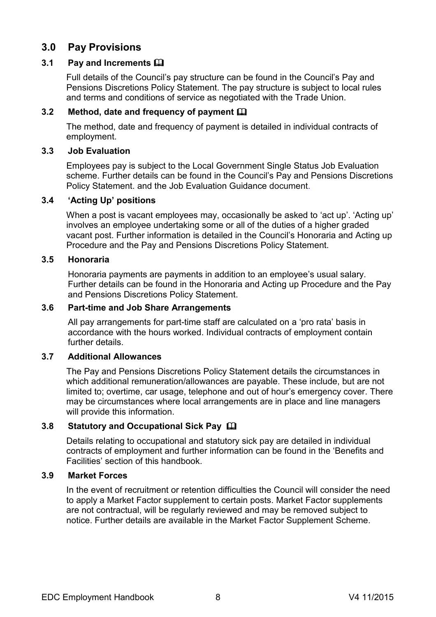# <span id="page-7-0"></span>**3.0 Pay Provisions**

#### <span id="page-7-1"></span>**3.1 Pay and Increments**

Full details of the Council's pay structure can be found in the Council's Pay and Pensions Discretions Policy Statement. The pay structure is subject to local rules and terms and conditions of service as negotiated with the Trade Union.

#### <span id="page-7-2"></span>**3.2 Method, date and frequency of payment**

The method, date and frequency of payment is detailed in individual contracts of employment.

#### <span id="page-7-3"></span>**3.3 Job Evaluation**

Employees pay is subject to the Local Government Single Status Job Evaluation scheme. Further details can be found in the Council's Pay and Pensions Discretions Policy Statement. and the Job Evaluation Guidance document.

#### <span id="page-7-4"></span>**3.4 'Acting Up' positions**

When a post is vacant employees may, occasionally be asked to 'act up'. 'Acting up' involves an employee undertaking some or all of the duties of a higher graded vacant post. Further information is detailed in the Council's Honoraria and Acting up Procedure and the Pay and Pensions Discretions Policy Statement.

#### <span id="page-7-5"></span>**3.5 Honoraria**

Honoraria payments are payments in addition to an employee's usual salary. Further details can be found in the Honoraria and Acting up Procedure and the Pay and Pensions Discretions Policy Statement.

#### <span id="page-7-6"></span>**3.6 Part-time and Job Share Arrangements**

All pay arrangements for part-time staff are calculated on a 'pro rata' basis in accordance with the hours worked. Individual contracts of employment contain further details.

#### <span id="page-7-7"></span>**3.7 Additional Allowances**

The Pay and Pensions Discretions Policy Statement details the circumstances in which additional remuneration/allowances are payable. These include, but are not limited to; overtime, car usage, telephone and out of hour's emergency cover. There may be circumstances where local arrangements are in place and line managers will provide this information.

#### <span id="page-7-8"></span>**3.8 Statutory and Occupational Sick Pay**

Details relating to occupational and statutory sick pay are detailed in individual contracts of employment and further information can be found in the 'Benefits and Facilities' section of this handbook.

#### <span id="page-7-9"></span>**3.9 Market Forces**

In the event of recruitment or retention difficulties the Council will consider the need to apply a Market Factor supplement to certain posts. Market Factor supplements are not contractual, will be regularly reviewed and may be removed subject to notice. Further details are available in the Market Factor Supplement Scheme.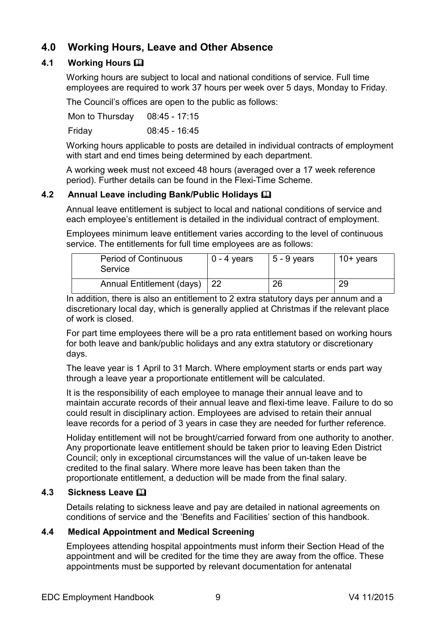# <span id="page-8-0"></span>**4.0 Working Hours, Leave and Other Absence**

# <span id="page-8-1"></span>**4.1 Working Hours**

Working hours are subject to local and national conditions of service. Full time employees are required to work 37 hours per week over 5 days, Monday to Friday.

The Council's offices are open to the public as follows:

Mon to Thursday 08:45 - 17:15 Friday 08:45 - 16:45

Working hours applicable to posts are detailed in individual contracts of employment with start and end times being determined by each department.

A working week must not exceed 48 hours (averaged over a 17 week reference period). Further details can be found in the Flexi-Time Scheme.

# <span id="page-8-2"></span>**4.2 Annual Leave including Bank/Public Holidays**

Annual leave entitlement is subject to local and national conditions of service and each employee's entitlement is detailed in the individual contract of employment.

Employees minimum leave entitlement varies according to the level of continuous service. The entitlements for full time employees are as follows:

| <b>Period of Continuous</b><br>Service | $0 - 4$ years | $5 - 9$ years | $10+$ years |
|----------------------------------------|---------------|---------------|-------------|
| Annual Entitlement (days)   22         |               | 26            | 29          |

In addition, there is also an entitlement to 2 extra statutory days per annum and a discretionary local day, which is generally applied at Christmas if the relevant place of work is closed.

For part time employees there will be a pro rata entitlement based on working hours for both leave and bank/public holidays and any extra statutory or discretionary days.

The leave year is 1 April to 31 March. Where employment starts or ends part way through a leave year a proportionate entitlement will be calculated.

It is the responsibility of each employee to manage their annual leave and to maintain accurate records of their annual leave and flexi-time leave. Failure to do so could result in disciplinary action. Employees are advised to retain their annual leave records for a period of 3 years in case they are needed for further reference.

Holiday entitlement will not be brought/carried forward from one authority to another. Any proportionate leave entitlement should be taken prior to leaving Eden District Council; only in exceptional circumstances will the value of un-taken leave be credited to the final salary. Where more leave has been taken than the proportionate entitlement, a deduction will be made from the final salary.

# <span id="page-8-3"></span>**4.3 Sickness Leave**

Details relating to sickness leave and pay are detailed in national agreements on conditions of service and the 'Benefits and Facilities' section of this handbook.

# <span id="page-8-4"></span>**4.4 Medical Appointment and Medical Screening**

Employees attending hospital appointments must inform their Section Head of the appointment and will be credited for the time they are away from the office. These appointments must be supported by relevant documentation for antenatal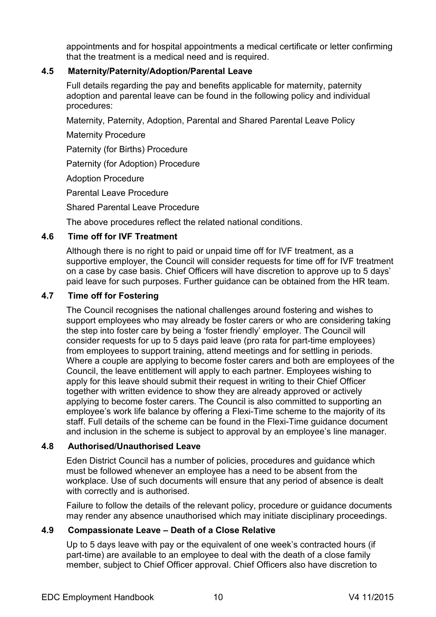appointments and for hospital appointments a medical certificate or letter confirming that the treatment is a medical need and is required.

#### <span id="page-9-0"></span>**4.5 Maternity/Paternity/Adoption/Parental Leave**

Full details regarding the pay and benefits applicable for maternity, paternity adoption and parental leave can be found in the following policy and individual procedures:

Maternity, Paternity, Adoption, Parental and Shared Parental Leave Policy

Maternity Procedure

Paternity (for Births) Procedure

Paternity (for Adoption) Procedure

Adoption Procedure

Parental Leave Procedure

Shared Parental Leave Procedure

The above procedures reflect the related national conditions.

#### <span id="page-9-1"></span>**4.6 Time off for IVF Treatment**

Although there is no right to paid or unpaid time off for IVF treatment, as a supportive employer, the Council will consider requests for time off for IVF treatment on a case by case basis. Chief Officers will have discretion to approve up to 5 days' paid leave for such purposes. Further guidance can be obtained from the HR team.

#### <span id="page-9-2"></span>**4.7 Time off for Fostering**

The Council recognises the national challenges around fostering and wishes to support employees who may already be foster carers or who are considering taking the step into foster care by being a 'foster friendly' employer. The Council will consider requests for up to 5 days paid leave (pro rata for part-time employees) from employees to support training, attend meetings and for settling in periods. Where a couple are applying to become foster carers and both are employees of the Council, the leave entitlement will apply to each partner. Employees wishing to apply for this leave should submit their request in writing to their Chief Officer together with written evidence to show they are already approved or actively applying to become foster carers. The Council is also committed to supporting an employee's work life balance by offering a Flexi-Time scheme to the majority of its staff. Full details of the scheme can be found in the Flexi-Time guidance document and inclusion in the scheme is subject to approval by an employee's line manager.

#### <span id="page-9-3"></span>**4.8 Authorised/Unauthorised Leave**

Eden District Council has a number of policies, procedures and guidance which must be followed whenever an employee has a need to be absent from the workplace. Use of such documents will ensure that any period of absence is dealt with correctly and is authorised.

Failure to follow the details of the relevant policy, procedure or guidance documents may render any absence unauthorised which may initiate disciplinary proceedings.

#### <span id="page-9-4"></span>**4.9 Compassionate Leave – Death of a Close Relative**

Up to 5 days leave with pay or the equivalent of one week's contracted hours (if part-time) are available to an employee to deal with the death of a close family member, subject to Chief Officer approval. Chief Officers also have discretion to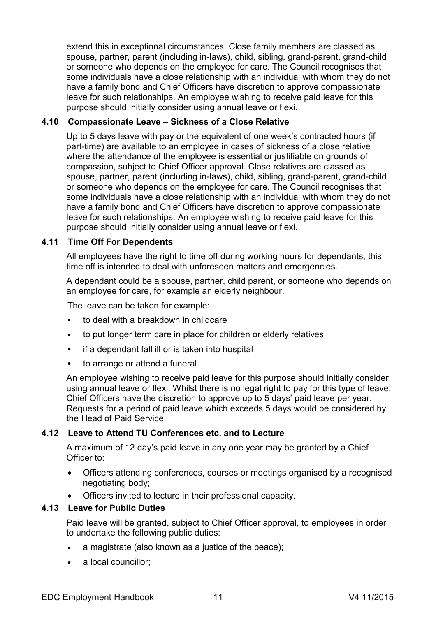extend this in exceptional circumstances. Close family members are classed as spouse, partner, parent (including in-laws), child, sibling, grand-parent, grand-child or someone who depends on the employee for care. The Council recognises that some individuals have a close relationship with an individual with whom they do not have a family bond and Chief Officers have discretion to approve compassionate leave for such relationships. An employee wishing to receive paid leave for this purpose should initially consider using annual leave or flexi.

#### <span id="page-10-0"></span>**4.10 Compassionate Leave – Sickness of a Close Relative**

Up to 5 days leave with pay or the equivalent of one week's contracted hours (if part-time) are available to an employee in cases of sickness of a close relative where the attendance of the employee is essential or justifiable on grounds of compassion, subject to Chief Officer approval. Close relatives are classed as spouse, partner, parent (including in-laws), child, sibling, grand-parent, grand-child or someone who depends on the employee for care. The Council recognises that some individuals have a close relationship with an individual with whom they do not have a family bond and Chief Officers have discretion to approve compassionate leave for such relationships. An employee wishing to receive paid leave for this purpose should initially consider using annual leave or flexi.

#### <span id="page-10-1"></span>**4.11 Time Off For Dependents**

All employees have the right to time off during working hours for dependants, this time off is intended to deal with unforeseen matters and emergencies.

A dependant could be a spouse, partner, child parent, or someone who depends on an employee for care, for example an elderly neighbour.

The leave can be taken for example:

- to deal with a breakdown in childcare
- to put longer term care in place for children or elderly relatives
- if a dependant fall ill or is taken into hospital
- to arrange or attend a funeral.

An employee wishing to receive paid leave for this purpose should initially consider using annual leave or flexi. Whilst there is no legal right to pay for this type of leave, Chief Officers have the discretion to approve up to 5 days' paid leave per year. Requests for a period of paid leave which exceeds 5 days would be considered by the Head of Paid Service.

#### <span id="page-10-2"></span>**4.12 Leave to Attend TU Conferences etc. and to Lecture**

A maximum of 12 day's paid leave in any one year may be granted by a Chief Officer to:

- Officers attending conferences, courses or meetings organised by a recognised negotiating body;
- Officers invited to lecture in their professional capacity.

#### <span id="page-10-3"></span>**4.13 Leave for Public Duties**

Paid leave will be granted, subject to Chief Officer approval, to employees in order to undertake the following public duties:

- a magistrate (also known as a justice of the peace);
- a local councillor;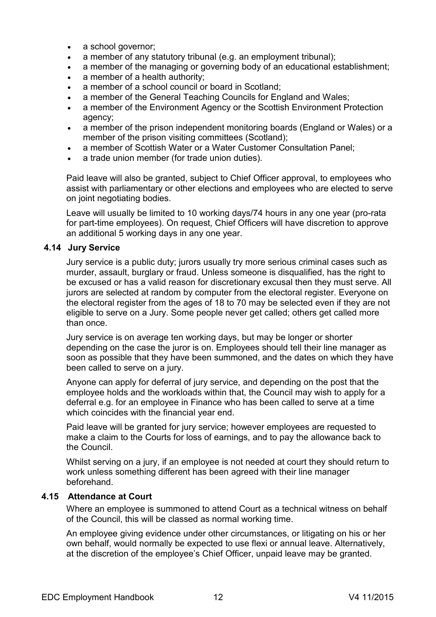- a school governor;
- a member of any statutory tribunal (e.g. an employment tribunal);
- a member of the managing or governing body of an educational establishment;
- a member of a health authority;
- a member of a school council or board in Scotland;
- a member of the General Teaching Councils for England and Wales;
- a member of the Environment Agency or the Scottish Environment Protection agency;
- a member of the prison independent monitoring boards (England or Wales) or a member of the prison visiting committees (Scotland);
- a member of Scottish Water or a Water Customer Consultation Panel;
- a trade union member (for trade union duties).

Paid leave will also be granted, subject to Chief Officer approval, to employees who assist with parliamentary or other elections and employees who are elected to serve on joint negotiating bodies.

Leave will usually be limited to 10 working days/74 hours in any one year (pro-rata for part-time employees). On request, Chief Officers will have discretion to approve an additional 5 working days in any one year.

#### <span id="page-11-0"></span>**4.14 Jury Service**

Jury service is a public duty; jurors usually try more serious criminal cases such as murder, assault, burglary or fraud. Unless someone is disqualified, has the right to be excused or has a valid reason for discretionary excusal then they must serve. All jurors are selected at random by computer from the electoral register. Everyone on the electoral register from the ages of 18 to 70 may be selected even if they are not eligible to serve on a Jury. Some people never get called; others get called more than once.

Jury service is on average ten working days, but may be longer or shorter depending on the case the juror is on. Employees should tell their line manager as soon as possible that they have been summoned, and the dates on which they have been called to serve on a jury.

Anyone can apply for deferral of jury service, and depending on the post that the employee holds and the workloads within that, the Council may wish to apply for a deferral e.g. for an employee in Finance who has been called to serve at a time which coincides with the financial year end.

Paid leave will be granted for jury service; however employees are requested to make a claim to the Courts for loss of earnings, and to pay the allowance back to the Council.

Whilst serving on a jury, if an employee is not needed at court they should return to work unless something different has been agreed with their line manager beforehand.

#### **4.15 Attendance at Court**

Where an employee is summoned to attend Court as a technical witness on behalf of the Council, this will be classed as normal working time.

An employee giving evidence under other circumstances, or litigating on his or her own behalf, would normally be expected to use flexi or annual leave. Alternatively, at the discretion of the employee's Chief Officer, unpaid leave may be granted.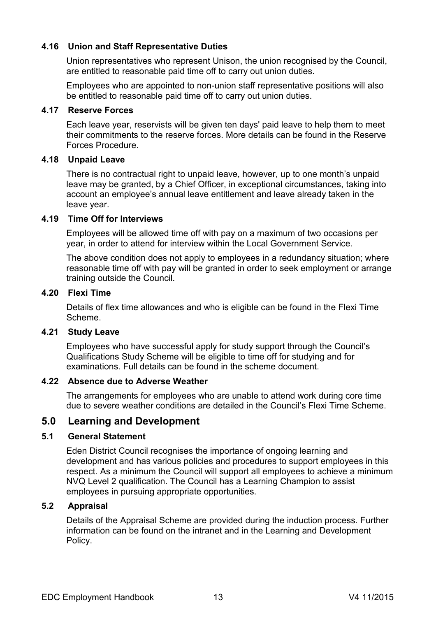#### <span id="page-12-0"></span>**4.16 Union and Staff Representative Duties**

Union representatives who represent Unison, the union recognised by the Council, are entitled to reasonable paid time off to carry out union duties.

Employees who are appointed to non-union staff representative positions will also be entitled to reasonable paid time off to carry out union duties.

#### <span id="page-12-1"></span>**4.17 Reserve Forces**

Each leave year, reservists will be given ten days' paid leave to help them to meet their commitments to the reserve forces. More details can be found in the Reserve Forces Procedure.

#### <span id="page-12-2"></span>**4.18 Unpaid Leave**

There is no contractual right to unpaid leave, however, up to one month's unpaid leave may be granted, by a Chief Officer, in exceptional circumstances, taking into account an employee's annual leave entitlement and leave already taken in the leave year.

#### <span id="page-12-3"></span>**4.19 Time Off for Interviews**

Employees will be allowed time off with pay on a maximum of two occasions per year, in order to attend for interview within the Local Government Service.

The above condition does not apply to employees in a redundancy situation; where reasonable time off with pay will be granted in order to seek employment or arrange training outside the Council.

#### <span id="page-12-4"></span>**4.20 Flexi Time**

Details of flex time allowances and who is eligible can be found in the Flexi Time Scheme.

#### <span id="page-12-5"></span>**4.21 Study Leave**

Employees who have successful apply for study support through the Council's Qualifications Study Scheme will be eligible to time off for studying and for examinations. Full details can be found in the scheme document.

#### <span id="page-12-6"></span>**4.22 Absence due to Adverse Weather**

The arrangements for employees who are unable to attend work during core time due to severe weather conditions are detailed in the Council's Flexi Time Scheme.

# <span id="page-12-7"></span>**5.0 Learning and Development**

#### <span id="page-12-8"></span>**5.1 General Statement**

Eden District Council recognises the importance of ongoing learning and development and has various policies and procedures to support employees in this respect. As a minimum the Council will support all employees to achieve a minimum NVQ Level 2 qualification. The Council has a Learning Champion to assist employees in pursuing appropriate opportunities.

#### <span id="page-12-9"></span>**5.2 Appraisal**

Details of the Appraisal Scheme are provided during the induction process. Further information can be found on the intranet and in the Learning and Development Policy.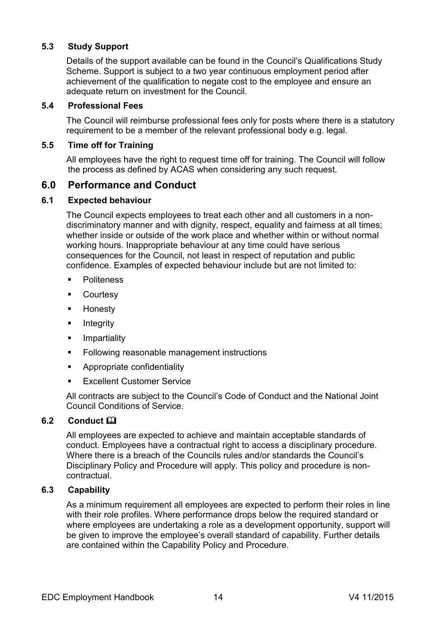### <span id="page-13-0"></span>**5.3 Study Support**

Details of the support available can be found in the Council's Qualifications Study Scheme. Support is subject to a two year continuous employment period after achievement of the qualification to negate cost to the employee and ensure an adequate return on investment for the Council.

#### <span id="page-13-1"></span>**5.4 Professional Fees**

The Council will reimburse professional fees only for posts where there is a statutory requirement to be a member of the relevant professional body e.g. legal.

#### <span id="page-13-2"></span>**5.5 Time off for Training**

All employees have the right to request time off for training. The Council will follow the process as defined by ACAS when considering any such request.

# <span id="page-13-3"></span>**6.0 Performance and Conduct**

#### <span id="page-13-4"></span>**6.1 Expected behaviour**

The Council expects employees to treat each other and all customers in a nondiscriminatory manner and with dignity, respect, equality and fairness at all times; whether inside or outside of the work place and whether within or without normal working hours. Inappropriate behaviour at any time could have serious consequences for the Council, not least in respect of reputation and public confidence. Examples of expected behaviour include but are not limited to:

- **Politeness**
- **E** Courtesy
- **-** Honesty
- Integrity
- **I** Impartiality
- **Following reasonable management instructions**
- **Appropriate confidentiality**
- Excellent Customer Service

All contracts are subject to the Council's Code of Conduct and the National Joint Council Conditions of Service.

#### <span id="page-13-5"></span>**6.2 Conduct**

All employees are expected to achieve and maintain acceptable standards of conduct. Employees have a contractual right to access a disciplinary procedure. Where there is a breach of the Councils rules and/or standards the Council's Disciplinary Policy and Procedure will apply. This policy and procedure is noncontractual.

#### <span id="page-13-6"></span>**6.3 Capability**

As a minimum requirement all employees are expected to perform their roles in line with their role profiles. Where performance drops below the required standard or where employees are undertaking a role as a development opportunity, support will be given to improve the employee's overall standard of capability. Further details are contained within the Capability Policy and Procedure.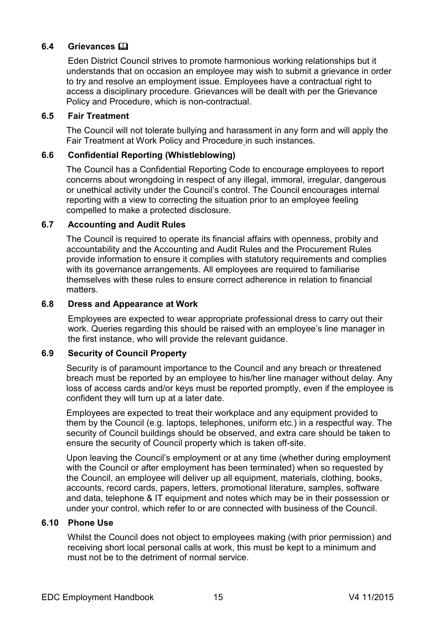#### <span id="page-14-0"></span>**6.4 Grievances**

Eden District Council strives to promote harmonious working relationships but it understands that on occasion an employee may wish to submit a grievance in order to try and resolve an employment issue. Employees have a contractual right to access a disciplinary procedure. Grievances will be dealt with per the Grievance Policy and Procedure, which is non-contractual.

#### <span id="page-14-1"></span>**6.5 Fair Treatment**

The Council will not tolerate bullying and harassment in any form and will apply the Fair Treatment at Work Policy and Procedure in such instances.

#### <span id="page-14-2"></span>**6.6 Confidential Reporting (Whistleblowing)**

The Council has a Confidential Reporting Code to encourage employees to report concerns about wrongdoing in respect of any illegal, immoral, irregular, dangerous or unethical activity under the Council's control. The Council encourages internal reporting with a view to correcting the situation prior to an employee feeling compelled to make a protected disclosure.

#### <span id="page-14-3"></span>**6.7 Accounting and Audit Rules**

The Council is required to operate its financial affairs with openness, probity and accountability and the Accounting and Audit Rules and the Procurement Rules provide information to ensure it complies with statutory requirements and complies with its governance arrangements. All employees are required to familiarise themselves with these rules to ensure correct adherence in relation to financial matters.

#### <span id="page-14-4"></span>**6.8 Dress and Appearance at Work**

Employees are expected to wear appropriate professional dress to carry out their work. Queries regarding this should be raised with an employee's line manager in the first instance, who will provide the relevant guidance.

#### <span id="page-14-5"></span>**6.9 Security of Council Property**

Security is of paramount importance to the Council and any breach or threatened breach must be reported by an employee to his/her line manager without delay. Any loss of access cards and/or keys must be reported promptly, even if the employee is confident they will turn up at a later date.

Employees are expected to treat their workplace and any equipment provided to them by the Council (e.g. laptops, telephones, uniform etc.) in a respectful way. The security of Council buildings should be observed, and extra care should be taken to ensure the security of Council property which is taken off-site.

Upon leaving the Council's employment or at any time (whether during employment with the Council or after employment has been terminated) when so requested by the Council, an employee will deliver up all equipment, materials, clothing, books, accounts, record cards, papers, letters, promotional literature, samples, software and data, telephone & IT equipment and notes which may be in their possession or under your control, which refer to or are connected with business of the Council.

#### <span id="page-14-6"></span>**6.10 Phone Use**

Whilst the Council does not object to employees making (with prior permission) and receiving short local personal calls at work, this must be kept to a minimum and must not be to the detriment of normal service.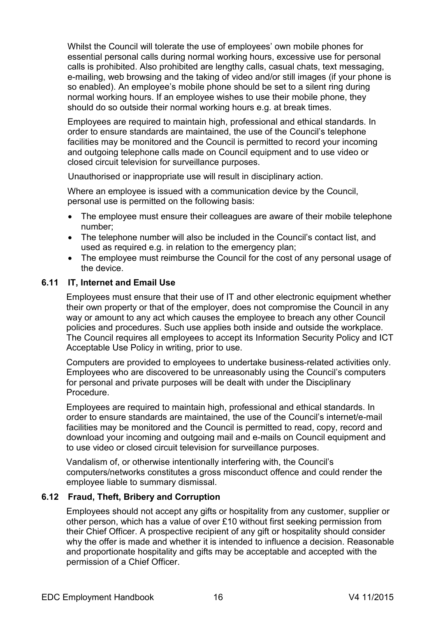Whilst the Council will tolerate the use of employees' own mobile phones for essential personal calls during normal working hours, excessive use for personal calls is prohibited. Also prohibited are lengthy calls, casual chats, text messaging, e-mailing, web browsing and the taking of video and/or still images (if your phone is so enabled). An employee's mobile phone should be set to a silent ring during normal working hours. If an employee wishes to use their mobile phone, they should do so outside their normal working hours e.g. at break times.

Employees are required to maintain high, professional and ethical standards. In order to ensure standards are maintained, the use of the Council's telephone facilities may be monitored and the Council is permitted to record your incoming and outgoing telephone calls made on Council equipment and to use video or closed circuit television for surveillance purposes.

Unauthorised or inappropriate use will result in disciplinary action.

Where an employee is issued with a communication device by the Council, personal use is permitted on the following basis:

- The employee must ensure their colleagues are aware of their mobile telephone number;
- The telephone number will also be included in the Council's contact list, and used as required e.g. in relation to the emergency plan;
- The employee must reimburse the Council for the cost of any personal usage of the device.

### <span id="page-15-0"></span>**6.11 IT, Internet and Email Use**

Employees must ensure that their use of IT and other electronic equipment whether their own property or that of the employer, does not compromise the Council in any way or amount to any act which causes the employee to breach any other Council policies and procedures. Such use applies both inside and outside the workplace. The Council requires all employees to accept its Information Security Policy and ICT Acceptable Use Policy in writing, prior to use.

Computers are provided to employees to undertake business-related activities only. Employees who are discovered to be unreasonably using the Council's computers for personal and private purposes will be dealt with under the Disciplinary Procedure.

Employees are required to maintain high, professional and ethical standards. In order to ensure standards are maintained, the use of the Council's internet/e-mail facilities may be monitored and the Council is permitted to read, copy, record and download your incoming and outgoing mail and e-mails on Council equipment and to use video or closed circuit television for surveillance purposes.

Vandalism of, or otherwise intentionally interfering with, the Council's computers/networks constitutes a gross misconduct offence and could render the employee liable to summary dismissal.

#### <span id="page-15-1"></span>**6.12 Fraud, Theft, Bribery and Corruption**

Employees should not accept any gifts or hospitality from any customer, supplier or other person, which has a value of over £10 without first seeking permission from their Chief Officer. A prospective recipient of any gift or hospitality should consider why the offer is made and whether it is intended to influence a decision. Reasonable and proportionate hospitality and gifts may be acceptable and accepted with the permission of a Chief Officer.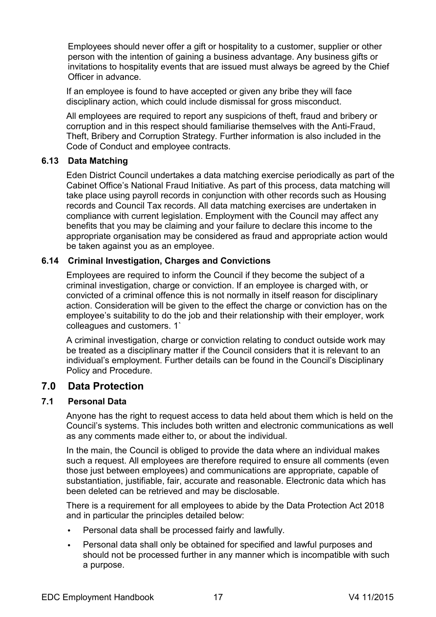Employees should never offer a gift or hospitality to a customer, supplier or other person with the intention of gaining a business advantage. Any business gifts or invitations to hospitality events that are issued must always be agreed by the Chief Officer in advance.

If an employee is found to have accepted or given any bribe they will face disciplinary action, which could include dismissal for gross misconduct.

All employees are required to report any suspicions of theft, fraud and bribery or corruption and in this respect should familiarise themselves with the Anti-Fraud, Theft, Bribery and Corruption Strategy. Further information is also included in the Code of Conduct and employee contracts.

#### <span id="page-16-0"></span>**6.13 Data Matching**

Eden District Council undertakes a data matching exercise periodically as part of the Cabinet Office's National Fraud Initiative. As part of this process, data matching will take place using payroll records in conjunction with other records such as Housing records and Council Tax records. All data matching exercises are undertaken in compliance with current legislation. Employment with the Council may affect any benefits that you may be claiming and your failure to declare this income to the appropriate organisation may be considered as fraud and appropriate action would be taken against you as an employee.

#### <span id="page-16-1"></span>**6.14 Criminal Investigation, Charges and Convictions**

Employees are required to inform the Council if they become the subject of a criminal investigation, charge or conviction. If an employee is charged with, or convicted of a criminal offence this is not normally in itself reason for disciplinary action. Consideration will be given to the effect the charge or conviction has on the employee's suitability to do the job and their relationship with their employer, work colleagues and customers. 1`

A criminal investigation, charge or conviction relating to conduct outside work may be treated as a disciplinary matter if the Council considers that it is relevant to an individual's employment. Further details can be found in the Council's Disciplinary Policy and Procedure.

# <span id="page-16-2"></span>**7.0 Data Protection**

#### <span id="page-16-3"></span>**7.1 Personal Data**

Anyone has the right to request access to data held about them which is held on the Council's systems. This includes both written and electronic communications as well as any comments made either to, or about the individual.

In the main, the Council is obliged to provide the data where an individual makes such a request. All employees are therefore required to ensure all comments (even those just between employees) and communications are appropriate, capable of substantiation, justifiable, fair, accurate and reasonable. Electronic data which has been deleted can be retrieved and may be disclosable.

There is a requirement for all employees to abide by the Data Protection Act 2018 and in particular the principles detailed below:

- Personal data shall be processed fairly and lawfully.
- Personal data shall only be obtained for specified and lawful purposes and should not be processed further in any manner which is incompatible with such a purpose.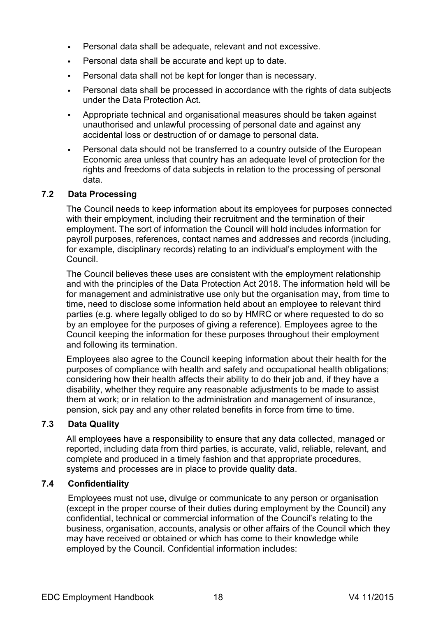- Personal data shall be adequate, relevant and not excessive.
- Personal data shall be accurate and kept up to date.
- Personal data shall not be kept for longer than is necessary.
- Personal data shall be processed in accordance with the rights of data subjects under the Data Protection Act.
- Appropriate technical and organisational measures should be taken against unauthorised and unlawful processing of personal date and against any accidental loss or destruction of or damage to personal data.
- Personal data should not be transferred to a country outside of the European Economic area unless that country has an adequate level of protection for the rights and freedoms of data subjects in relation to the processing of personal data.

#### <span id="page-17-0"></span>**7.2 Data Processing**

The Council needs to keep information about its employees for purposes connected with their employment, including their recruitment and the termination of their employment. The sort of information the Council will hold includes information for payroll purposes, references, contact names and addresses and records (including, for example, disciplinary records) relating to an individual's employment with the Council.

The Council believes these uses are consistent with the employment relationship and with the principles of the Data Protection Act 2018. The information held will be for management and administrative use only but the organisation may, from time to time, need to disclose some information held about an employee to relevant third parties (e.g. where legally obliged to do so by HMRC or where requested to do so by an employee for the purposes of giving a reference). Employees agree to the Council keeping the information for these purposes throughout their employment and following its termination.

Employees also agree to the Council keeping information about their health for the purposes of compliance with health and safety and occupational health obligations; considering how their health affects their ability to do their job and, if they have a disability, whether they require any reasonable adjustments to be made to assist them at work; or in relation to the administration and management of insurance, pension, sick pay and any other related benefits in force from time to time.

#### <span id="page-17-1"></span>**7.3 Data Quality**

All employees have a responsibility to ensure that any data collected, managed or reported, including data from third parties, is accurate, valid, reliable, relevant, and complete and produced in a timely fashion and that appropriate procedures, systems and processes are in place to provide quality data.

#### <span id="page-17-2"></span>**7.4 Confidentiality**

Employees must not use, divulge or communicate to any person or organisation (except in the proper course of their duties during employment by the Council) any confidential, technical or commercial information of the Council's relating to the business, organisation, accounts, analysis or other affairs of the Council which they may have received or obtained or which has come to their knowledge while employed by the Council. Confidential information includes: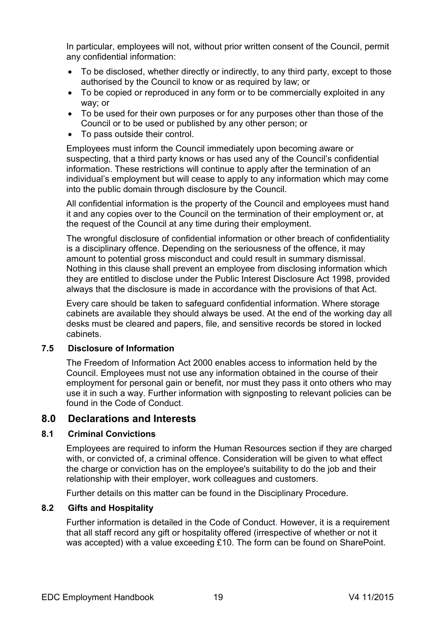In particular, employees will not, without prior written consent of the Council, permit any confidential information:

- To be disclosed, whether directly or indirectly, to any third party, except to those authorised by the Council to know or as required by law; or
- To be copied or reproduced in any form or to be commercially exploited in any way; or
- To be used for their own purposes or for any purposes other than those of the Council or to be used or published by any other person; or
- To pass outside their control.

Employees must inform the Council immediately upon becoming aware or suspecting, that a third party knows or has used any of the Council's confidential information. These restrictions will continue to apply after the termination of an individual's employment but will cease to apply to any information which may come into the public domain through disclosure by the Council.

All confidential information is the property of the Council and employees must hand it and any copies over to the Council on the termination of their employment or, at the request of the Council at any time during their employment.

The wrongful disclosure of confidential information or other breach of confidentiality is a disciplinary offence. Depending on the seriousness of the offence, it may amount to potential gross misconduct and could result in summary dismissal. Nothing in this clause shall prevent an employee from disclosing information which they are entitled to disclose under the Public Interest Disclosure Act 1998, provided always that the disclosure is made in accordance with the provisions of that Act.

Every care should be taken to safeguard confidential information. Where storage cabinets are available they should always be used. At the end of the working day all desks must be cleared and papers, file, and sensitive records be stored in locked cabinets.

#### <span id="page-18-0"></span>**7.5 Disclosure of Information**

The Freedom of Information Act 2000 enables access to information held by the Council. Employees must not use any information obtained in the course of their employment for personal gain or benefit, nor must they pass it onto others who may use it in such a way. Further information with signposting to relevant policies can be found in the Code of Conduct.

# <span id="page-18-1"></span>**8.0 Declarations and Interests**

#### <span id="page-18-2"></span>**8.1 Criminal Convictions**

Employees are required to inform the Human Resources section if they are charged with, or convicted of, a criminal offence. Consideration will be given to what effect the charge or conviction has on the employee's suitability to do the job and their relationship with their employer, work colleagues and customers.

Further details on this matter can be found in the Disciplinary Procedure.

#### <span id="page-18-3"></span>**8.2 Gifts and Hospitality**

Further information is detailed in the Code of Conduct. However, it is a requirement that all staff record any gift or hospitality offered (irrespective of whether or not it was accepted) with a value exceeding £10. The form can be found on SharePoint.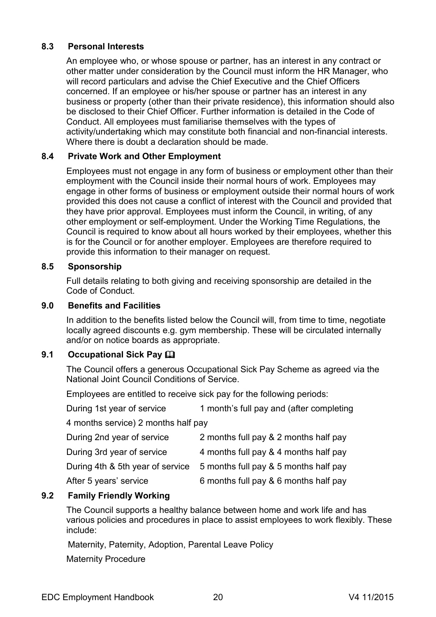#### <span id="page-19-0"></span>**8.3 Personal Interests**

An employee who, or whose spouse or partner, has an interest in any contract or other matter under consideration by the Council must inform the HR Manager, who will record particulars and advise the Chief Executive and the Chief Officers concerned. If an employee or his/her spouse or partner has an interest in any business or property (other than their private residence), this information should also be disclosed to their Chief Officer. Further information is detailed in the Code of Conduct. All employees must familiarise themselves with the types of activity/undertaking which may constitute both financial and non-financial interests. Where there is doubt a declaration should be made.

### <span id="page-19-1"></span>**8.4 Private Work and Other Employment**

Employees must not engage in any form of business or employment other than their employment with the Council inside their normal hours of work. Employees may engage in other forms of business or employment outside their normal hours of work provided this does not cause a conflict of interest with the Council and provided that they have prior approval. Employees must inform the Council, in writing, of any other employment or self-employment. Under the Working Time Regulations, the Council is required to know about all hours worked by their employees, whether this is for the Council or for another employer. Employees are therefore required to provide this information to their manager on request.

#### <span id="page-19-2"></span>**8.5 Sponsorship**

Full details relating to both giving and receiving sponsorship are detailed in the Code of Conduct.

#### <span id="page-19-3"></span>**9.0 Benefits and Facilities**

In addition to the benefits listed below the Council will, from time to time, negotiate locally agreed discounts e.g. gym membership. These will be circulated internally and/or on notice boards as appropriate.

#### <span id="page-19-4"></span>**9.1 Occupational Sick Pay**

The Council offers a generous Occupational Sick Pay Scheme as agreed via the National Joint Council Conditions of Service.

Employees are entitled to receive sick pay for the following periods:

During 1st year of service 1 month's full pay and (after completing

4 months service) 2 months half pay

| During 2nd year of service | 2 months full pay & 2 months half pay                                  |
|----------------------------|------------------------------------------------------------------------|
| During 3rd year of service | 4 months full pay & 4 months half pay                                  |
|                            | During 4th & 5th year of service 5 months full pay & 5 months half pay |
| After 5 years' service     | 6 months full pay & 6 months half pay                                  |

#### <span id="page-19-5"></span>**9.2 Family Friendly Working**

The Council supports a healthy balance between home and work life and has various policies and procedures in place to assist employees to work flexibly. These include:

Maternity, Paternity, Adoption, Parental Leave Policy

Maternity Procedure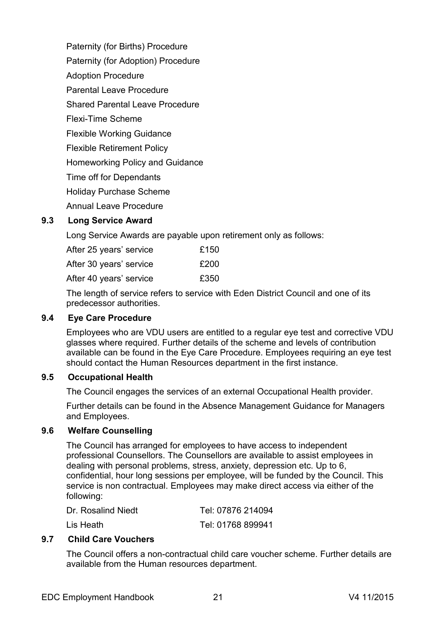Paternity (for Births) Procedure Paternity (for Adoption) Procedure Adoption Procedure Parental Leave Procedure Shared Parental Leave Procedure Flexi-Time Scheme Flexible Working Guidance Flexible Retirement Policy Homeworking Policy and Guidance Time off for Dependants Holiday Purchase Scheme Annual Leave Procedure

#### <span id="page-20-0"></span>**9.3 Long Service Award**

Long Service Awards are payable upon retirement only as follows:

After 25 years' service E150 After 30 years' service E200 After 40 years' service E350

The length of service refers to service with Eden District Council and one of its predecessor authorities.

#### <span id="page-20-1"></span>**9.4 Eye Care Procedure**

Employees who are VDU users are entitled to a regular eye test and corrective VDU glasses where required. Further details of the scheme and levels of contribution available can be found in the Eye Care Procedure. Employees requiring an eye test should contact the Human Resources department in the first instance.

#### <span id="page-20-2"></span>**9.5 Occupational Health**

The Council engages the services of an external Occupational Health provider.

Further details can be found in the Absence Management Guidance for Managers and Employees.

#### <span id="page-20-3"></span>**9.6 Welfare Counselling**

The Council has arranged for employees to have access to independent professional Counsellors. The Counsellors are available to assist employees in dealing with personal problems, stress, anxiety, depression etc. Up to 6, confidential, hour long sessions per employee, will be funded by the Council. This service is non contractual. Employees may make direct access via either of the following:

| Dr. Rosalind Niedt | Tel: 07876 214094 |
|--------------------|-------------------|
| Lis Heath          | Tel: 01768 899941 |

# <span id="page-20-4"></span>**9.7 Child Care Vouchers**

The Council offers a non-contractual child care voucher scheme. Further details are available from the Human resources department.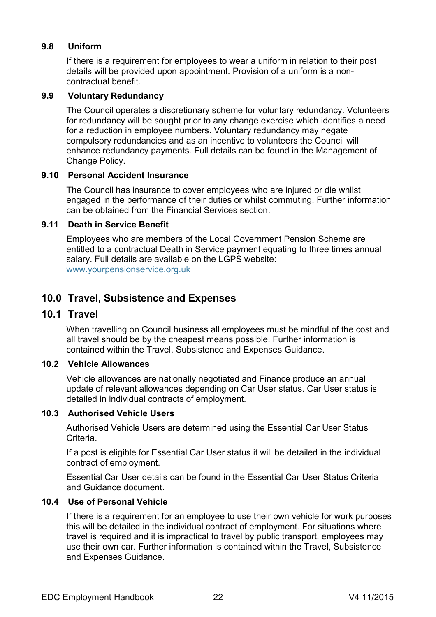#### <span id="page-21-0"></span>**9.8 Uniform**

If there is a requirement for employees to wear a uniform in relation to their post details will be provided upon appointment. Provision of a uniform is a noncontractual benefit.

#### <span id="page-21-1"></span>**9.9 Voluntary Redundancy**

The Council operates a discretionary scheme for voluntary redundancy. Volunteers for redundancy will be sought prior to any change exercise which identifies a need for a reduction in employee numbers. Voluntary redundancy may negate compulsory redundancies and as an incentive to volunteers the Council will enhance redundancy payments. Full details can be found in the Management of Change Policy.

#### <span id="page-21-2"></span>**9.10 Personal Accident Insurance**

The Council has insurance to cover employees who are injured or die whilst engaged in the performance of their duties or whilst commuting. Further information can be obtained from the Financial Services section.

#### <span id="page-21-3"></span>**9.11 Death in Service Benefit**

Employees who are members of the Local Government Pension Scheme are entitled to a contractual Death in Service payment equating to three times annual salary. Full details are available on the LGPS website: [www.yourpensionservice.org.uk](http://www.yourpensionservice.org.uk/)

# <span id="page-21-4"></span>**10.0 Travel, Subsistence and Expenses**

#### <span id="page-21-5"></span>**10.1 Travel**

When travelling on Council business all employees must be mindful of the cost and all travel should be by the cheapest means possible. Further information is contained within the Travel, Subsistence and Expenses Guidance.

#### <span id="page-21-6"></span>**10.2 Vehicle Allowances**

Vehicle allowances are nationally negotiated and Finance produce an annual update of relevant allowances depending on Car User status. Car User status is detailed in individual contracts of employment.

#### <span id="page-21-7"></span>**10.3 Authorised Vehicle Users**

Authorised Vehicle Users are determined using the Essential Car User Status Criteria.

If a post is eligible for Essential Car User status it will be detailed in the individual contract of employment.

Essential Car User details can be found in the Essential Car User Status Criteria and Guidance document.

#### <span id="page-21-8"></span>**10.4 Use of Personal Vehicle**

If there is a requirement for an employee to use their own vehicle for work purposes this will be detailed in the individual contract of employment. For situations where travel is required and it is impractical to travel by public transport, employees may use their own car. Further information is contained within the Travel, Subsistence and Expenses Guidance.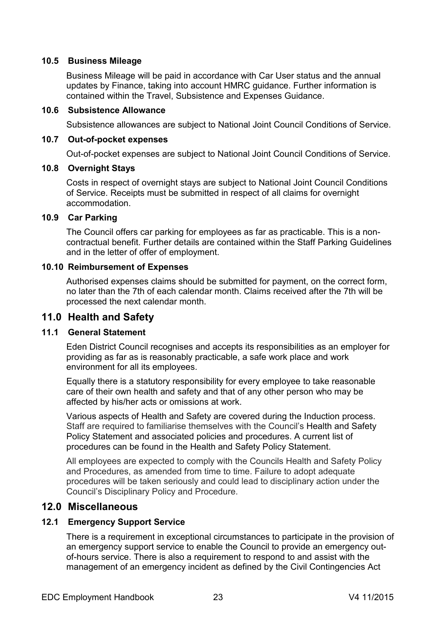#### <span id="page-22-0"></span>**10.5 Business Mileage**

Business Mileage will be paid in accordance with Car User status and the annual updates by Finance, taking into account HMRC guidance. Further information is contained within the Travel, Subsistence and Expenses Guidance.

#### <span id="page-22-1"></span>**10.6 Subsistence Allowance**

Subsistence allowances are subject to National Joint Council Conditions of Service.

#### <span id="page-22-2"></span>**10.7 Out-of-pocket expenses**

Out-of-pocket expenses are subject to National Joint Council Conditions of Service.

#### <span id="page-22-3"></span>**10.8 Overnight Stays**

Costs in respect of overnight stays are subject to National Joint Council Conditions of Service. Receipts must be submitted in respect of all claims for overnight accommodation.

#### <span id="page-22-4"></span>**10.9 Car Parking**

The Council offers car parking for employees as far as practicable. This is a noncontractual benefit. Further details are contained within the Staff Parking Guidelines and in the letter of offer of employment.

#### <span id="page-22-5"></span>**10.10 Reimbursement of Expenses**

Authorised expenses claims should be submitted for payment, on the correct form, no later than the 7th of each calendar month. Claims received after the 7th will be processed the next calendar month.

# <span id="page-22-6"></span>**11.0 Health and Safety**

# <span id="page-22-7"></span>**11.1 General Statement**

Eden District Council recognises and accepts its responsibilities as an employer for providing as far as is reasonably practicable, a safe work place and work environment for all its employees.

Equally there is a statutory responsibility for every employee to take reasonable care of their own health and safety and that of any other person who may be affected by his/her acts or omissions at work.

Various aspects of Health and Safety are covered during the Induction process. Staff are required to familiarise themselves with the Council's Health and Safety Policy Statement and associated policies and procedures. A current list of procedures can be found in the Health and Safety Policy Statement.

All employees are expected to comply with the Councils Health and Safety Policy and Procedures, as amended from time to time. Failure to adopt adequate procedures will be taken seriously and could lead to disciplinary action under the Council's Disciplinary Policy and Procedure.

# <span id="page-22-8"></span>**12.0 Miscellaneous**

#### <span id="page-22-9"></span>**12.1 Emergency Support Service**

There is a requirement in exceptional circumstances to participate in the provision of an emergency support service to enable the Council to provide an emergency outof-hours service. There is also a requirement to respond to and assist with the management of an emergency incident as defined by the Civil Contingencies Act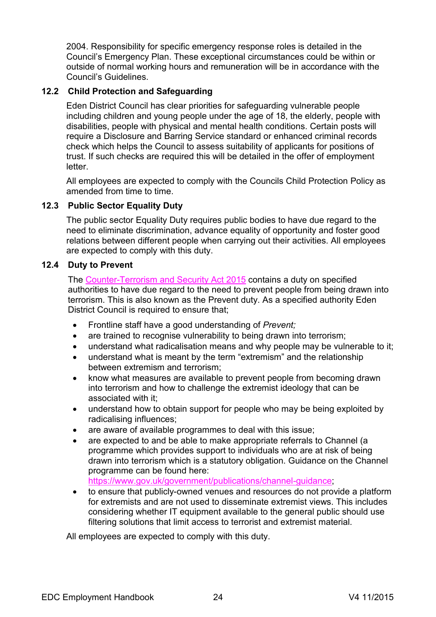2004. Responsibility for specific emergency response roles is detailed in the Council's Emergency Plan. These exceptional circumstances could be within or outside of normal working hours and remuneration will be in accordance with the Council's Guidelines.

#### <span id="page-23-0"></span>**12.2 Child Protection and Safeguarding**

Eden District Council has clear priorities for safeguarding vulnerable people including children and young people under the age of 18, the elderly, people with disabilities, people with physical and mental health conditions. Certain posts will require a Disclosure and Barring Service standard or enhanced criminal records check which helps the Council to assess suitability of applicants for positions of trust. If such checks are required this will be detailed in the offer of employment letter.

All employees are expected to comply with the Councils Child Protection Policy as amended from time to time.

#### <span id="page-23-1"></span>**12.3 Public Sector Equality Duty**

The public sector Equality Duty requires public bodies to have due regard to the need to eliminate discrimination, advance equality of opportunity and foster good relations between different people when carrying out their activities. All employees are expected to comply with this duty.

#### <span id="page-23-2"></span>**12.4 Duty to Prevent**

The [Counter-Terrorism](https://www.gov.uk/government/collections/counter-terrorism-and-security-bill) and Security Act 2015 contains a duty on specified authorities to have due regard to the need to prevent people from being drawn into terrorism. This is also known as the Prevent duty. As a specified authority Eden District Council is required to ensure that;

- Frontline staff have a good understanding of *Prevent;*
- are trained to recognise vulnerability to being drawn into terrorism;
- understand what radicalisation means and why people may be vulnerable to it;
- understand what is meant by the term "extremism" and the relationship between extremism and terrorism;
- know what measures are available to prevent people from becoming drawn into terrorism and how to challenge the extremist ideology that can be associated with it;
- understand how to obtain support for people who may be being exploited by radicalising influences;
- are aware of available programmes to deal with this issue;
- are expected to and be able to make appropriate referrals to Channel (a programme which provides support to individuals who are at risk of being drawn into terrorism which is a statutory obligation. Guidance on the Channel programme can be found here: [https://www.gov.uk/government/publications/channel-guidance;](https://www.gov.uk/government/publications/channel-guidance)
- to ensure that publicly-owned venues and resources do not provide a platform for extremists and are not used to disseminate extremist views. This includes considering whether IT equipment available to the general public should use filtering solutions that limit access to terrorist and extremist material.

All employees are expected to comply with this duty.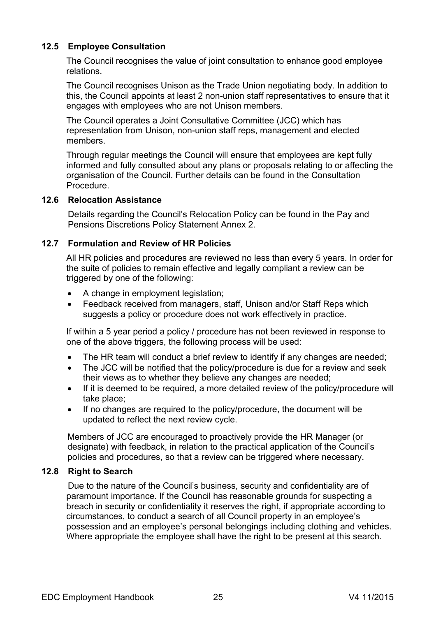### <span id="page-24-0"></span>**12.5 Employee Consultation**

The Council recognises the value of joint consultation to enhance good employee relations.

The Council recognises Unison as the Trade Union negotiating body. In addition to this, the Council appoints at least 2 non-union staff representatives to ensure that it engages with employees who are not Unison members.

The Council operates a Joint Consultative Committee (JCC) which has representation from Unison, non-union staff reps, management and elected members.

Through regular meetings the Council will ensure that employees are kept fully informed and fully consulted about any plans or proposals relating to or affecting the organisation of the Council. Further details can be found in the Consultation Procedure.

#### <span id="page-24-1"></span>**12.6 Relocation Assistance**

Details regarding the Council's Relocation Policy can be found in the Pay and Pensions Discretions Policy Statement Annex 2.

#### <span id="page-24-2"></span>**12.7 Formulation and Review of HR Policies**

All HR policies and procedures are reviewed no less than every 5 years. In order for the suite of policies to remain effective and legally compliant a review can be triggered by one of the following:

- A change in employment legislation;
- Feedback received from managers, staff, Unison and/or Staff Reps which suggests a policy or procedure does not work effectively in practice.

If within a 5 year period a policy / procedure has not been reviewed in response to one of the above triggers, the following process will be used:

- The HR team will conduct a brief review to identify if any changes are needed;
- The JCC will be notified that the policy/procedure is due for a review and seek their views as to whether they believe any changes are needed;
- If it is deemed to be required, a more detailed review of the policy/procedure will take place;
- If no changes are required to the policy/procedure, the document will be updated to reflect the next review cycle.

Members of JCC are encouraged to proactively provide the HR Manager (or designate) with feedback, in relation to the practical application of the Council's policies and procedures, so that a review can be triggered where necessary.

#### <span id="page-24-3"></span>**12.8 Right to Search**

Due to the nature of the Council's business, security and confidentiality are of paramount importance. If the Council has reasonable grounds for suspecting a breach in security or confidentiality it reserves the right, if appropriate according to circumstances, to conduct a search of all Council property in an employee's possession and an employee's personal belongings including clothing and vehicles. Where appropriate the employee shall have the right to be present at this search.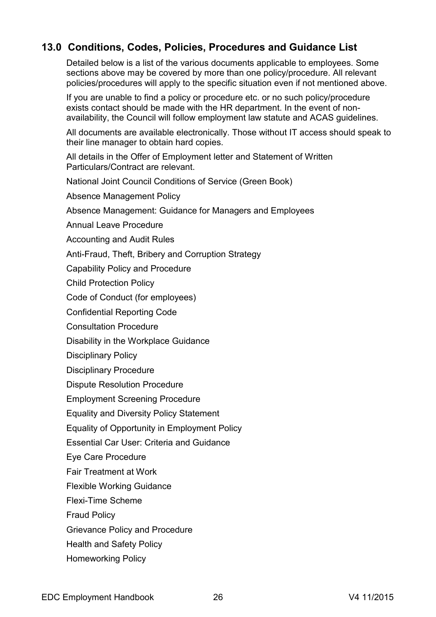# <span id="page-25-0"></span>**13.0 Conditions, Codes, Policies, Procedures and Guidance List**

Detailed below is a list of the various documents applicable to employees. Some sections above may be covered by more than one policy/procedure. All relevant policies/procedures will apply to the specific situation even if not mentioned above.

If you are unable to find a policy or procedure etc. or no such policy/procedure exists contact should be made with the HR department. In the event of nonavailability, the Council will follow employment law statute and ACAS guidelines.

All documents are available electronically. Those without IT access should speak to their line manager to obtain hard copies.

All details in the Offer of Employment letter and Statement of Written Particulars/Contract are relevant.

National Joint Council Conditions of Service (Green Book)

Absence Management Policy

Absence Management: Guidance for Managers and Employees

Annual Leave Procedure

Accounting and Audit Rules

Anti-Fraud, Theft, Bribery and Corruption Strategy

Capability Policy and Procedure

Child Protection Policy

Code of Conduct (for employees)

Confidential Reporting Code

Consultation Procedure

Disability in the Workplace Guidance

Disciplinary Policy

Disciplinary Procedure

Dispute Resolution Procedure

Employment Screening Procedure

Equality and Diversity Policy Statement

Equality of Opportunity in Employment Policy

Essential Car User: Criteria and Guidance

Eye Care Procedure

Fair Treatment at Work

Flexible Working Guidance

Flexi-Time Scheme

Fraud Policy

Grievance Policy and Procedure

Health and Safety Policy

Homeworking Policy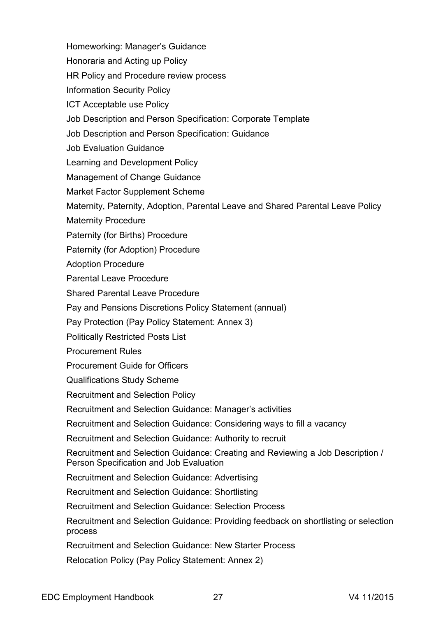Homeworking: Manager's Guidance

Honoraria and Acting up Policy

HR Policy and Procedure review process

Information Security Policy

ICT Acceptable use Policy

Job Description and Person Specification: Corporate Template

Job Description and Person Specification: Guidance

Job Evaluation Guidance

Learning and Development Policy

Management of Change Guidance

Market Factor Supplement Scheme

Maternity, Paternity, Adoption, Parental Leave and Shared Parental Leave Policy

Maternity Procedure

Paternity (for Births) Procedure

Paternity (for Adoption) Procedure

Adoption Procedure

Parental Leave Procedure

Shared Parental Leave Procedure

Pay and Pensions Discretions Policy Statement (annual)

Pay Protection (Pay Policy Statement: Annex 3)

Politically Restricted Posts List

Procurement Rules

Procurement Guide for Officers

Qualifications Study Scheme

Recruitment and Selection Policy

Recruitment and Selection Guidance: Manager's activities

Recruitment and Selection Guidance: Considering ways to fill a vacancy

Recruitment and Selection Guidance: Authority to recruit

Recruitment and Selection Guidance: Creating and Reviewing a Job Description / Person Specification and Job Evaluation

Recruitment and Selection Guidance: Advertising

Recruitment and Selection Guidance: Shortlisting

Recruitment and Selection Guidance: Selection Process

Recruitment and Selection Guidance: Providing feedback on shortlisting or selection process

Recruitment and Selection Guidance: New Starter Process

Relocation Policy (Pay Policy Statement: Annex 2)